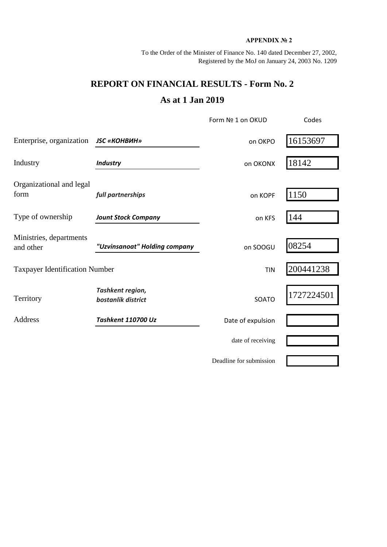## **APPENDIX № 2**

To the Order of the Minister of Finance No. 140 dated December 27, 2002, Registered by the MoJ on January 24, 2003 No. 1209

## **REPORT ON FINANCIAL RESULTS - Form No. 2 As at 1 Jan 2019**

|                                       |                                        | Form Nº 1 on OKUD       | Codes      |  |
|---------------------------------------|----------------------------------------|-------------------------|------------|--|
| Enterprise, organization              | <b>JSC «КОНВИН»</b>                    | on OKPO                 | 16153697   |  |
| Industry                              | <b>Industry</b>                        | on OKONX                | 18142      |  |
| Organizational and legal<br>form      | full partnerships                      | on KOPF                 | 1150       |  |
| Type of ownership                     | <b>Jount Stock Company</b>             | on KFS                  | 144        |  |
| Ministries, departments<br>and other  | "Uzvinsanoat" Holding company          | on SOOGU                | 08254      |  |
| <b>Taxpayer Identification Number</b> |                                        | <b>TIN</b>              | 200441238  |  |
| Territory                             | Tashkent region,<br>bostanlik district | SOATO                   | 1727224501 |  |
| <b>Address</b>                        | Tashkent 110700 Uz                     | Date of expulsion       |            |  |
|                                       |                                        | date of receiving       |            |  |
|                                       |                                        | Deadline for submission |            |  |